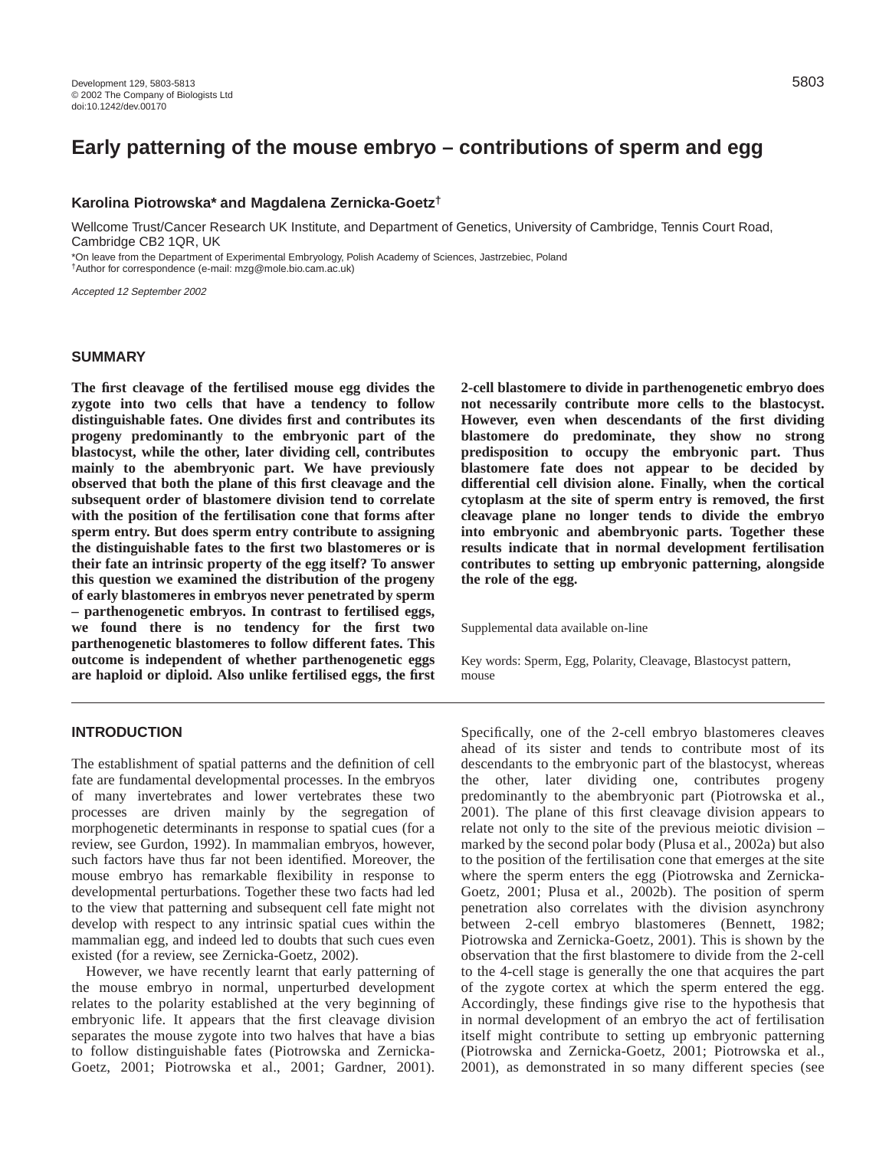### **Karolina Piotrowska\* and Magdalena Zernicka-Goetz†**

Wellcome Trust/Cancer Research UK Institute, and Department of Genetics, University of Cambridge, Tennis Court Road, Cambridge CB2 1QR, UK

\*On leave from the Department of Experimental Embryology, Polish Academy of Sciences, Jastrzebiec, Poland †Author for correspondence (e-mail: mzg@mole.bio.cam.ac.uk)

Accepted 12 September 2002

# **SUMMARY**

**The first cleavage of the fertilised mouse egg divides the zygote into two cells that have a tendency to follow distinguishable fates. One divides first and contributes its progeny predominantly to the embryonic part of the blastocyst, while the other, later dividing cell, contributes mainly to the abembryonic part. We have previously observed that both the plane of this first cleavage and the subsequent order of blastomere division tend to correlate with the position of the fertilisation cone that forms after sperm entry. But does sperm entry contribute to assigning the distinguishable fates to the first two blastomeres or is their fate an intrinsic property of the egg itself? To answer this question we examined the distribution of the progeny of early blastomeres in embryos never penetrated by sperm – parthenogenetic embryos. In contrast to fertilised eggs, we found there is no tendency for the first two parthenogenetic blastomeres to follow different fates. This outcome is independent of whether parthenogenetic eggs are haploid or diploid. Also unlike fertilised eggs, the first** **2-cell blastomere to divide in parthenogenetic embryo does not necessarily contribute more cells to the blastocyst. However, even when descendants of the first dividing blastomere do predominate, they show no strong predisposition to occupy the embryonic part. Thus blastomere fate does not appear to be decided by differential cell division alone. Finally, when the cortical cytoplasm at the site of sperm entry is removed, the first cleavage plane no longer tends to divide the embryo into embryonic and abembryonic parts. Together these results indicate that in normal development fertilisation contributes to setting up embryonic patterning, alongside the role of the egg.** 

Supplemental data available on-line

Key words: Sperm, Egg, Polarity, Cleavage, Blastocyst pattern, mouse

# **INTRODUCTION**

The establishment of spatial patterns and the definition of cell fate are fundamental developmental processes. In the embryos of many invertebrates and lower vertebrates these two processes are driven mainly by the segregation of morphogenetic determinants in response to spatial cues (for a review, see Gurdon, 1992). In mammalian embryos, however, such factors have thus far not been identified. Moreover, the mouse embryo has remarkable flexibility in response to developmental perturbations. Together these two facts had led to the view that patterning and subsequent cell fate might not develop with respect to any intrinsic spatial cues within the mammalian egg, and indeed led to doubts that such cues even existed (for a review, see Zernicka-Goetz, 2002).

However, we have recently learnt that early patterning of the mouse embryo in normal, unperturbed development relates to the polarity established at the very beginning of embryonic life. It appears that the first cleavage division separates the mouse zygote into two halves that have a bias to follow distinguishable fates (Piotrowska and Zernicka-Goetz, 2001; Piotrowska et al., 2001; Gardner, 2001).

Specifically, one of the 2-cell embryo blastomeres cleaves ahead of its sister and tends to contribute most of its descendants to the embryonic part of the blastocyst, whereas the other, later dividing one, contributes progeny predominantly to the abembryonic part (Piotrowska et al., 2001). The plane of this first cleavage division appears to relate not only to the site of the previous meiotic division – marked by the second polar body (Plusa et al., 2002a) but also to the position of the fertilisation cone that emerges at the site where the sperm enters the egg (Piotrowska and Zernicka-Goetz, 2001; Plusa et al., 2002b). The position of sperm penetration also correlates with the division asynchrony between 2-cell embryo blastomeres (Bennett, 1982; Piotrowska and Zernicka-Goetz, 2001). This is shown by the observation that the first blastomere to divide from the 2-cell to the 4-cell stage is generally the one that acquires the part of the zygote cortex at which the sperm entered the egg. Accordingly, these findings give rise to the hypothesis that in normal development of an embryo the act of fertilisation itself might contribute to setting up embryonic patterning (Piotrowska and Zernicka-Goetz, 2001; Piotrowska et al., 2001), as demonstrated in so many different species (see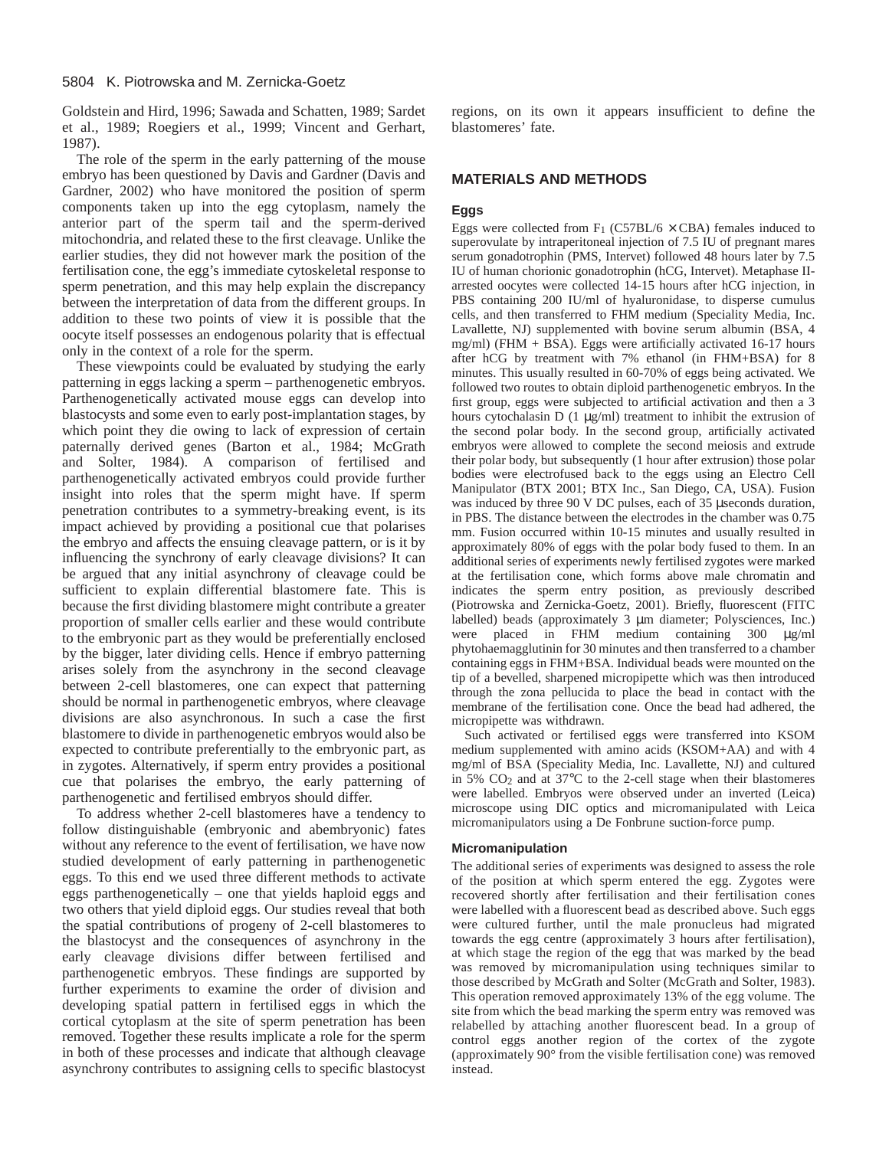Goldstein and Hird, 1996; Sawada and Schatten, 1989; Sardet et al., 1989; Roegiers et al., 1999; Vincent and Gerhart, 1987).

The role of the sperm in the early patterning of the mouse embryo has been questioned by Davis and Gardner (Davis and Gardner, 2002) who have monitored the position of sperm components taken up into the egg cytoplasm, namely the anterior part of the sperm tail and the sperm-derived mitochondria, and related these to the first cleavage. Unlike the earlier studies, they did not however mark the position of the fertilisation cone, the egg's immediate cytoskeletal response to sperm penetration, and this may help explain the discrepancy between the interpretation of data from the different groups. In addition to these two points of view it is possible that the oocyte itself possesses an endogenous polarity that is effectual only in the context of a role for the sperm.

These viewpoints could be evaluated by studying the early patterning in eggs lacking a sperm – parthenogenetic embryos. Parthenogenetically activated mouse eggs can develop into blastocysts and some even to early post-implantation stages, by which point they die owing to lack of expression of certain paternally derived genes (Barton et al., 1984; McGrath and Solter, 1984). A comparison of fertilised and parthenogenetically activated embryos could provide further insight into roles that the sperm might have. If sperm penetration contributes to a symmetry-breaking event, is its impact achieved by providing a positional cue that polarises the embryo and affects the ensuing cleavage pattern, or is it by influencing the synchrony of early cleavage divisions? It can be argued that any initial asynchrony of cleavage could be sufficient to explain differential blastomere fate. This is because the first dividing blastomere might contribute a greater proportion of smaller cells earlier and these would contribute to the embryonic part as they would be preferentially enclosed by the bigger, later dividing cells. Hence if embryo patterning arises solely from the asynchrony in the second cleavage between 2-cell blastomeres, one can expect that patterning should be normal in parthenogenetic embryos, where cleavage divisions are also asynchronous. In such a case the first blastomere to divide in parthenogenetic embryos would also be expected to contribute preferentially to the embryonic part, as in zygotes. Alternatively, if sperm entry provides a positional cue that polarises the embryo, the early patterning of parthenogenetic and fertilised embryos should differ.

To address whether 2-cell blastomeres have a tendency to follow distinguishable (embryonic and abembryonic) fates without any reference to the event of fertilisation, we have now studied development of early patterning in parthenogenetic eggs. To this end we used three different methods to activate eggs parthenogenetically – one that yields haploid eggs and two others that yield diploid eggs. Our studies reveal that both the spatial contributions of progeny of 2-cell blastomeres to the blastocyst and the consequences of asynchrony in the early cleavage divisions differ between fertilised and parthenogenetic embryos. These findings are supported by further experiments to examine the order of division and developing spatial pattern in fertilised eggs in which the cortical cytoplasm at the site of sperm penetration has been removed. Together these results implicate a role for the sperm in both of these processes and indicate that although cleavage asynchrony contributes to assigning cells to specific blastocyst regions, on its own it appears insufficient to define the blastomeres' fate.

### **MATERIALS AND METHODS**

#### **Eggs**

Eggs were collected from  $F_1$  (C57BL/6  $\times$  CBA) females induced to superovulate by intraperitoneal injection of 7.5 IU of pregnant mares serum gonadotrophin (PMS, Intervet) followed 48 hours later by 7.5 IU of human chorionic gonadotrophin (hCG, Intervet). Metaphase IIarrested oocytes were collected 14-15 hours after hCG injection, in PBS containing 200 IU/ml of hyaluronidase, to disperse cumulus cells, and then transferred to FHM medium (Speciality Media, Inc. Lavallette, NJ) supplemented with bovine serum albumin (BSA, 4 mg/ml) (FHM + BSA). Eggs were artificially activated 16-17 hours after hCG by treatment with 7% ethanol (in FHM+BSA) for 8 minutes. This usually resulted in 60-70% of eggs being activated. We followed two routes to obtain diploid parthenogenetic embryos. In the first group, eggs were subjected to artificial activation and then a 3 hours cytochalasin D  $(1 \mu g/ml)$  treatment to inhibit the extrusion of the second polar body. In the second group, artificially activated embryos were allowed to complete the second meiosis and extrude their polar body, but subsequently (1 hour after extrusion) those polar bodies were electrofused back to the eggs using an Electro Cell Manipulator (BTX 2001; BTX Inc., San Diego, CA, USA). Fusion was induced by three 90 V DC pulses, each of 35 µseconds duration, in PBS. The distance between the electrodes in the chamber was 0.75 mm. Fusion occurred within 10-15 minutes and usually resulted in approximately 80% of eggs with the polar body fused to them. In an additional series of experiments newly fertilised zygotes were marked at the fertilisation cone, which forms above male chromatin and indicates the sperm entry position, as previously described (Piotrowska and Zernicka-Goetz, 2001). Briefly, fluorescent (FITC labelled) beads (approximately 3 µm diameter; Polysciences, Inc.) were placed in FHM medium containing 300  $\mu$ g/ml phytohaemagglutinin for 30 minutes and then transferred to a chamber containing eggs in FHM+BSA. Individual beads were mounted on the tip of a bevelled, sharpened micropipette which was then introduced through the zona pellucida to place the bead in contact with the membrane of the fertilisation cone. Once the bead had adhered, the micropipette was withdrawn.

Such activated or fertilised eggs were transferred into KSOM medium supplemented with amino acids (KSOM+AA) and with 4 mg/ml of BSA (Speciality Media, Inc. Lavallette, NJ) and cultured in 5% CO2 and at 37°C to the 2-cell stage when their blastomeres were labelled. Embryos were observed under an inverted (Leica) microscope using DIC optics and micromanipulated with Leica micromanipulators using a De Fonbrune suction-force pump.

#### **Micromanipulation**

The additional series of experiments was designed to assess the role of the position at which sperm entered the egg. Zygotes were recovered shortly after fertilisation and their fertilisation cones were labelled with a fluorescent bead as described above. Such eggs were cultured further, until the male pronucleus had migrated towards the egg centre (approximately 3 hours after fertilisation), at which stage the region of the egg that was marked by the bead was removed by micromanipulation using techniques similar to those described by McGrath and Solter (McGrath and Solter, 1983). This operation removed approximately 13% of the egg volume. The site from which the bead marking the sperm entry was removed was relabelled by attaching another fluorescent bead. In a group of control eggs another region of the cortex of the zygote (approximately 90° from the visible fertilisation cone) was removed instead.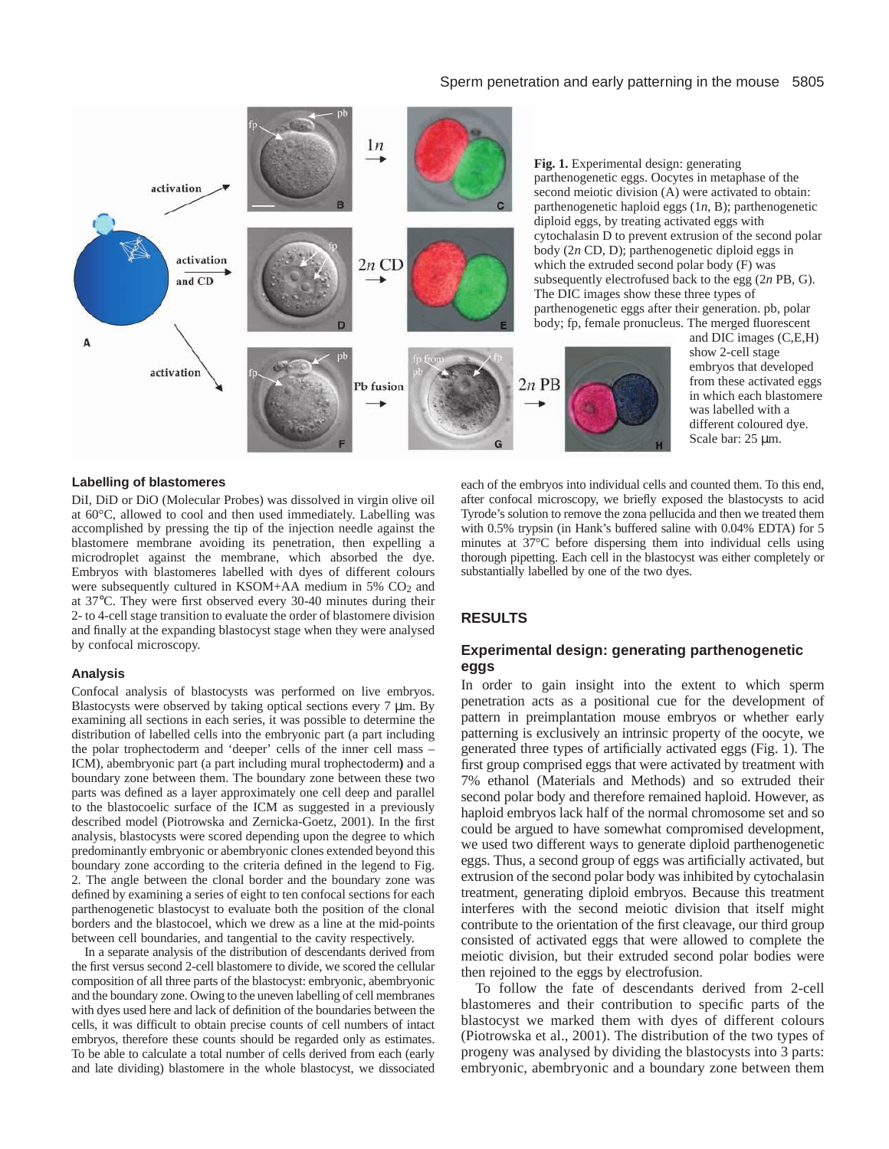

#### **Labelling of blastomeres**

DiI, DiD or DiO (Molecular Probes) was dissolved in virgin olive oil at 60°C, allowed to cool and then used immediately. Labelling was accomplished by pressing the tip of the injection needle against the blastomere membrane avoiding its penetration, then expelling a microdroplet against the membrane, which absorbed the dye. Embryos with blastomeres labelled with dyes of different colours were subsequently cultured in KSOM+AA medium in 5% CO<sub>2</sub> and at 37°C. They were first observed every 30-40 minutes during their 2- to 4-cell stage transition to evaluate the order of blastomere division and finally at the expanding blastocyst stage when they were analysed by confocal microscopy.

#### **Analysis**

Confocal analysis of blastocysts was performed on live embryos. Blastocysts were observed by taking optical sections every 7  $\mu$ m. By examining all sections in each series, it was possible to determine the distribution of labelled cells into the embryonic part (a part including the polar trophectoderm and 'deeper' cells of the inner cell mass – ICM), abembryonic part (a part including mural trophectoderm**)** and a boundary zone between them. The boundary zone between these two parts was defined as a layer approximately one cell deep and parallel to the blastocoelic surface of the ICM as suggested in a previously described model (Piotrowska and Zernicka-Goetz, 2001). In the first analysis, blastocysts were scored depending upon the degree to which predominantly embryonic or abembryonic clones extended beyond this boundary zone according to the criteria defined in the legend to Fig. 2. The angle between the clonal border and the boundary zone was defined by examining a series of eight to ten confocal sections for each parthenogenetic blastocyst to evaluate both the position of the clonal borders and the blastocoel, which we drew as a line at the mid-points between cell boundaries, and tangential to the cavity respectively.

In a separate analysis of the distribution of descendants derived from the first versus second 2-cell blastomere to divide, we scored the cellular composition of all three parts of the blastocyst: embryonic, abembryonic and the boundary zone. Owing to the uneven labelling of cell membranes with dyes used here and lack of definition of the boundaries between the cells, it was difficult to obtain precise counts of cell numbers of intact embryos, therefore these counts should be regarded only as estimates. To be able to calculate a total number of cells derived from each (early and late dividing) blastomere in the whole blastocyst, we dissociated each of the embryos into individual cells and counted them. To this end, after confocal microscopy, we briefly exposed the blastocysts to acid Tyrode's solution to remove the zona pellucida and then we treated them with 0.5% trypsin (in Hank's buffered saline with 0.04% EDTA) for 5 minutes at 37°C before dispersing them into individual cells using thorough pipetting. Each cell in the blastocyst was either completely or substantially labelled by one of the two dyes.

### **RESULTS**

# **Experimental design: generating parthenogenetic eggs**

In order to gain insight into the extent to which sperm penetration acts as a positional cue for the development of pattern in preimplantation mouse embryos or whether early patterning is exclusively an intrinsic property of the oocyte, we generated three types of artificially activated eggs (Fig. 1). The first group comprised eggs that were activated by treatment with 7% ethanol (Materials and Methods) and so extruded their second polar body and therefore remained haploid. However, as haploid embryos lack half of the normal chromosome set and so could be argued to have somewhat compromised development, we used two different ways to generate diploid parthenogenetic eggs. Thus, a second group of eggs was artificially activated, but extrusion of the second polar body was inhibited by cytochalasin treatment, generating diploid embryos. Because this treatment interferes with the second meiotic division that itself might contribute to the orientation of the first cleavage, our third group consisted of activated eggs that were allowed to complete the meiotic division, but their extruded second polar bodies were then rejoined to the eggs by electrofusion.

To follow the fate of descendants derived from 2-cell blastomeres and their contribution to specific parts of the blastocyst we marked them with dyes of different colours (Piotrowska et al., 2001). The distribution of the two types of progeny was analysed by dividing the blastocysts into 3 parts: embryonic, abembryonic and a boundary zone between them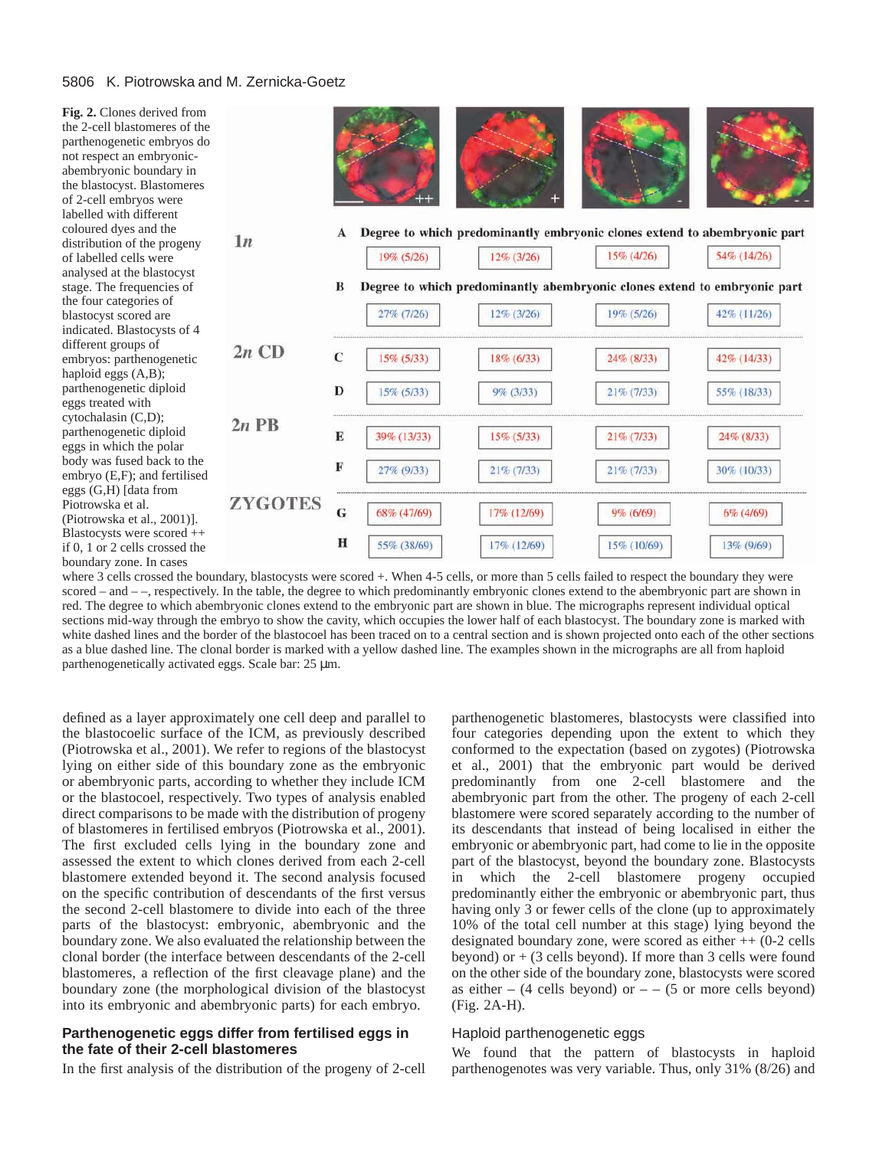### 5806 K. Piotrowska and M. Zernicka-Goetz



where 3 cells crossed the boundary, blastocysts were scored +. When 4-5 cells, or more than 5 cells failed to respect the boundary they were scored – and – –, respectively. In the table, the degree to which predominantly embryonic clones extend to the abembryonic part are shown in red. The degree to which abembryonic clones extend to the embryonic part are shown in blue. The micrographs represent individual optical sections mid-way through the embryo to show the cavity, which occupies the lower half of each blastocyst. The boundary zone is marked with white dashed lines and the border of the blastocoel has been traced on to a central section and is shown projected onto each of the other sections as a blue dashed line. The clonal border is marked with a yellow dashed line. The examples shown in the micrographs are all from haploid parthenogenetically activated eggs. Scale bar: 25 µm.

defined as a layer approximately one cell deep and parallel to the blastocoelic surface of the ICM, as previously described (Piotrowska et al., 2001). We refer to regions of the blastocyst lying on either side of this boundary zone as the embryonic or abembryonic parts, according to whether they include ICM or the blastocoel, respectively. Two types of analysis enabled direct comparisons to be made with the distribution of progeny of blastomeres in fertilised embryos (Piotrowska et al., 2001). The first excluded cells lying in the boundary zone and assessed the extent to which clones derived from each 2-cell blastomere extended beyond it. The second analysis focused on the specific contribution of descendants of the first versus the second 2-cell blastomere to divide into each of the three parts of the blastocyst: embryonic, abembryonic and the boundary zone. We also evaluated the relationship between the clonal border (the interface between descendants of the 2-cell blastomeres, a reflection of the first cleavage plane) and the boundary zone (the morphological division of the blastocyst into its embryonic and abembryonic parts) for each embryo.

# **Parthenogenetic eggs differ from fertilised eggs in the fate of their 2-cell blastomeres**

In the first analysis of the distribution of the progeny of 2-cell

parthenogenetic blastomeres, blastocysts were classified into four categories depending upon the extent to which they conformed to the expectation (based on zygotes) (Piotrowska et al., 2001) that the embryonic part would be derived predominantly from one 2-cell blastomere and the abembryonic part from the other. The progeny of each 2-cell blastomere were scored separately according to the number of its descendants that instead of being localised in either the embryonic or abembryonic part, had come to lie in the opposite part of the blastocyst, beyond the boundary zone. Blastocysts in which the 2-cell blastomere progeny occupied predominantly either the embryonic or abembryonic part, thus having only 3 or fewer cells of the clone (up to approximately 10% of the total cell number at this stage) lying beyond the designated boundary zone, were scored as either ++ (0-2 cells beyond) or + (3 cells beyond). If more than 3 cells were found on the other side of the boundary zone, blastocysts were scored as either – (4 cells beyond) or – – (5 or more cells beyond) (Fig. 2A-H).

# Haploid parthenogenetic eggs

We found that the pattern of blastocysts in haploid parthenogenotes was very variable. Thus, only 31% (8/26) and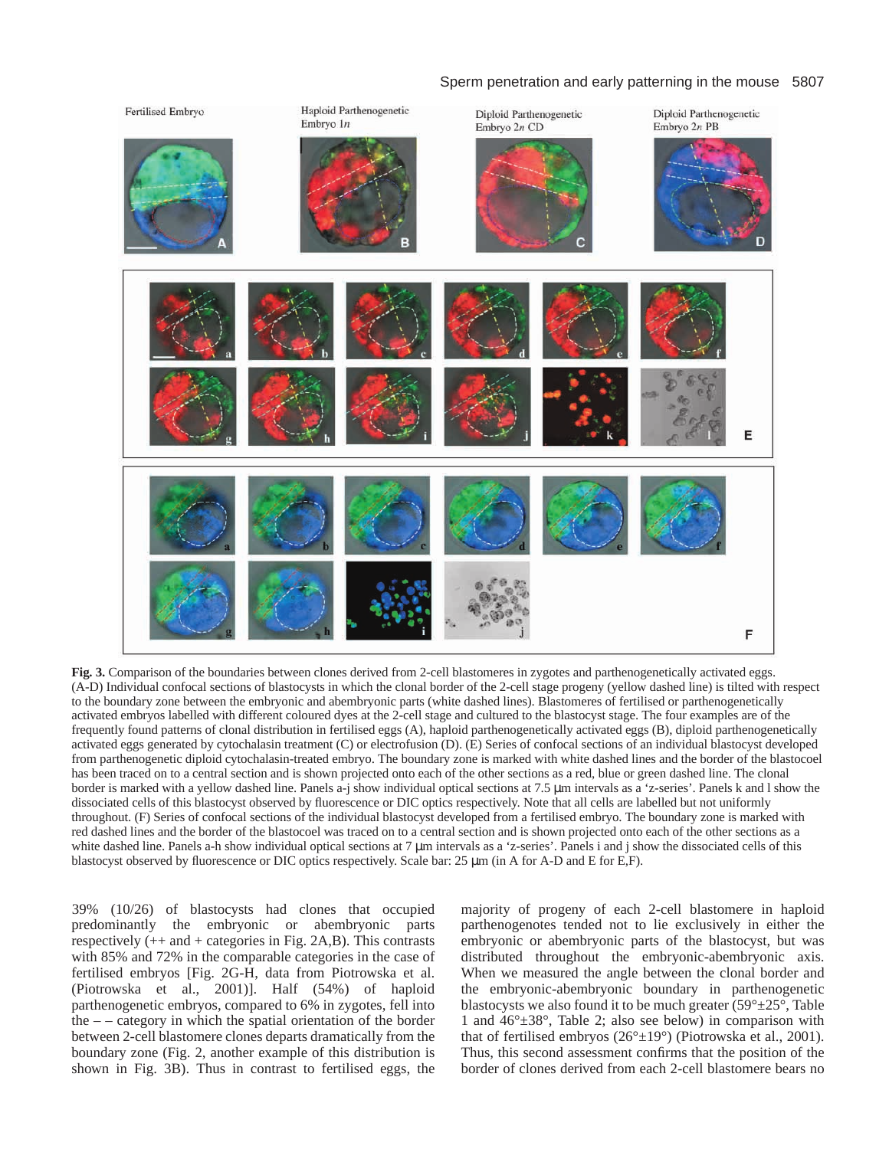# Sperm penetration and early patterning in the mouse 5807



**Fig. 3.** Comparison of the boundaries between clones derived from 2-cell blastomeres in zygotes and parthenogenetically activated eggs. (A-D) Individual confocal sections of blastocysts in which the clonal border of the 2-cell stage progeny (yellow dashed line) is tilted with respect to the boundary zone between the embryonic and abembryonic parts (white dashed lines). Blastomeres of fertilised or parthenogenetically activated embryos labelled with different coloured dyes at the 2-cell stage and cultured to the blastocyst stage. The four examples are of the frequently found patterns of clonal distribution in fertilised eggs (A), haploid parthenogenetically activated eggs (B), diploid parthenogenetically activated eggs generated by cytochalasin treatment (C) or electrofusion (D). (E) Series of confocal sections of an individual blastocyst developed from parthenogenetic diploid cytochalasin-treated embryo. The boundary zone is marked with white dashed lines and the border of the blastocoel has been traced on to a central section and is shown projected onto each of the other sections as a red, blue or green dashed line. The clonal border is marked with a yellow dashed line. Panels a-j show individual optical sections at 7.5  $\mu$ m intervals as a 'z-series'. Panels k and l show the dissociated cells of this blastocyst observed by fluorescence or DIC optics respectively. Note that all cells are labelled but not uniformly throughout. (F) Series of confocal sections of the individual blastocyst developed from a fertilised embryo. The boundary zone is marked with red dashed lines and the border of the blastocoel was traced on to a central section and is shown projected onto each of the other sections as a white dashed line. Panels a-h show individual optical sections at 7  $\mu$ m intervals as a 'z-series'. Panels i and j show the dissociated cells of this blastocyst observed by fluorescence or DIC optics respectively. Scale bar: 25  $\mu$ m (in A for A-D and E for E,F).

39% (10/26) of blastocysts had clones that occupied predominantly the embryonic or abembryonic parts respectively  $(+$  and  $+$  categories in Fig. 2A,B). This contrasts with 85% and 72% in the comparable categories in the case of fertilised embryos [Fig. 2G-H, data from Piotrowska et al. (Piotrowska et al., 2001)]. Half (54%) of haploid parthenogenetic embryos, compared to 6% in zygotes, fell into the  $-$  – category in which the spatial orientation of the border between 2-cell blastomere clones departs dramatically from the boundary zone (Fig. 2, another example of this distribution is shown in Fig. 3B). Thus in contrast to fertilised eggs, the

majority of progeny of each 2-cell blastomere in haploid parthenogenotes tended not to lie exclusively in either the embryonic or abembryonic parts of the blastocyst, but was distributed throughout the embryonic-abembryonic axis. When we measured the angle between the clonal border and the embryonic-abembryonic boundary in parthenogenetic blastocysts we also found it to be much greater  $(59^\circ \pm 25^\circ, 7$ able 1 and 46°±38°, Table 2; also see below) in comparison with that of fertilised embryos  $(26^{\circ} \pm 19^{\circ})$  (Piotrowska et al., 2001). Thus, this second assessment confirms that the position of the border of clones derived from each 2-cell blastomere bears no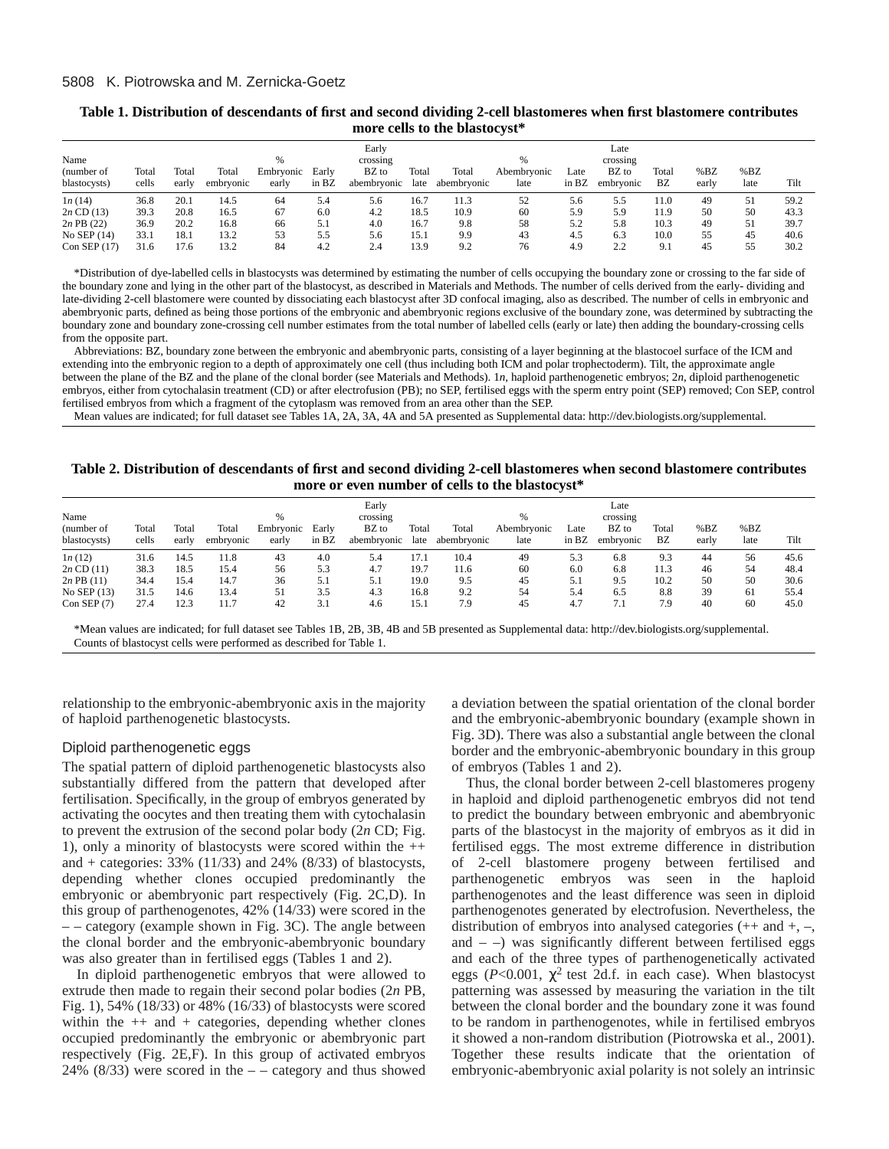|                | more cells to the blastocyst <sup>*</sup> |       |           |           |       |                   |       |             |             |       |                  |       |       |      |      |
|----------------|-------------------------------------------|-------|-----------|-----------|-------|-------------------|-------|-------------|-------------|-------|------------------|-------|-------|------|------|
| Name           |                                           |       |           | %         |       | Early<br>crossing |       |             |             |       | Late<br>crossing |       |       |      |      |
| (number of     | Total                                     | Total | Total     | Embryonic | Early | $BZ$ to           | Total | Total       | Abembryonic | Late  | $BZ$ to          | Total | % BZ  | %BZ  |      |
| blastocysts)   | cells                                     | early | embryonic | early     | in BZ | abembryonic       | late  | abembryonic | late        | in BZ | embryonic        | BZ    | early | late | Tilt |
| ln(14)         | 36.8                                      | 20.1  | 14.5      | 64        | 5.4   | 5.6               | 16.7  | 11.3        | 52          | 5.6   | 5.5              | 11.0  | 49    | 51   | 59.2 |
| $2n$ CD (13)   | 39.3                                      | 20.8  | 16.5      | 67        | 6.0   | 4.2               | 18.5  | 10.9        | 60          | 5.9   | 5.9              | 11.9  | 50    | 50   | 43.3 |
| $2n$ PB $(22)$ | 36.9                                      | 20.2  | 16.8      | 66        | 5.1   | 4.0               | 16.7  | 9.8         | 58          | 5.2   | 5.8              | 10.3  | 49    | 51   | 39.7 |
| No SEP $(14)$  | 33.1                                      | 18.1  | 13.2      | 53        | 5.5   | 5.6               | 15.1  | 9.9         | 43          | 4.5   | 6.3              | 10.0  | 55    | 45   | 40.6 |
| Con SEP $(17)$ | 31.6                                      | 17.6  | 13.2      | 84        | 4.2   | 2.4               | 13.9  | 9.2         | 76          | 4.9   | 2.2              | 9.1   | 45    | 55   | 30.2 |

### **Table 1. Distribution of descendants of first and second dividing 2-cell blastomeres when first blastomere contributes more cells to the blastocyst\***

\*Distribution of dye-labelled cells in blastocysts was determined by estimating the number of cells occupying the boundary zone or crossing to the far side of the boundary zone and lying in the other part of the blastocyst, as described in Materials and Methods. The number of cells derived from the early- dividing and late-dividing 2-cell blastomere were counted by dissociating each blastocyst after 3D confocal imaging, also as described. The number of cells in embryonic and abembryonic parts, defined as being those portions of the embryonic and abembryonic regions exclusive of the boundary zone, was determined by subtracting the boundary zone and boundary zone-crossing cell number estimates from the total number of labelled cells (early or late) then adding the boundary-crossing cells from the opposite part.

Abbreviations: BZ, boundary zone between the embryonic and abembryonic parts, consisting of a layer beginning at the blastocoel surface of the ICM and extending into the embryonic region to a depth of approximately one cell (thus including both ICM and polar trophectoderm). Tilt, the approximate angle between the plane of the BZ and the plane of the clonal border (see Materials and Methods). 1*n*, haploid parthenogenetic embryos; 2*n*, diploid parthenogenetic embryos, either from cytochalasin treatment (CD) or after electrofusion (PB); no SEP, fertilised eggs with the sperm entry point (SEP) removed; Con SEP, control fertilised embryos from which a fragment of the cytoplasm was removed from an area other than the SEP.

Mean values are indicated; for full dataset see Tables 1A, 2A, 3A, 4A and 5A presented as Supplemental data: [http://dev.biologists.org/supplemental.](http://dev.biologists.org/supplemental)

### **Table 2. Distribution of descendants of first and second dividing 2-cell blastomeres when second blastomere contributes more or even number of cells to the blastocyst\***

| Name<br>(number of<br>blastocysts) | Total<br>cells | Total<br>early | Total<br>embryonic | Embryonic<br>early | Early<br>in BZ | Early<br>crossing<br>$BZ$ to<br>abembryonic | Total<br>late | Total<br>abembryonic | %<br>Abembryonic<br>late | Late<br>in $BZ$ | Late<br>crossing<br>$BZ$ to<br>embryonic | Total<br>BZ | % BZ<br>early | % $BZ$<br>late | Tilt |
|------------------------------------|----------------|----------------|--------------------|--------------------|----------------|---------------------------------------------|---------------|----------------------|--------------------------|-----------------|------------------------------------------|-------------|---------------|----------------|------|
| ln(12)                             | 31.6           | 14.5           | 11.8               | 43                 | 4.0            | 5.4                                         | 17.1          | 10.4                 | 49                       | 5.3             | 6.8                                      | 9.3         | 44            | 56             | 45.6 |
| $2n$ CD $(11)$                     | 38.3           | 18.5           | 15.4               | 56                 | 5.3            | 4.7                                         | 19.7          | 11.6                 | 60                       | 6.0             | 6.8                                      | 11.3        | 46            | 54             | 48.4 |
| $2n$ PB $(11)$                     | 34.4           | 15.4           | 14.7               | 36                 | 5.1            | 5.1                                         | 19.0          | 9.5                  | 45                       | 5.1             | 9.5                                      | 10.2        | 50            | 50             | 30.6 |
| No SEP $(13)$                      | 31.5           | 14.6           | 13.4               | 51                 | 3.5            | 4.3                                         | 16.8          | 9.2                  | 54                       | 5.4             | 6.5                                      | 8.8         | 39            | 61             | 55.4 |
| Con SEP $(7)$                      | 27.4           | 12.3           | 11.7               | 42                 | 3.1            | 4.6                                         | 15.1          | 7.9                  | 45                       | 4.7             | 7.1                                      | 7.9         | 40            | 60             | 45.0 |

\*Mean values are indicated; for full dataset see Tables 1B, 2B, 3B, 4B and 5B presented as Supplemental data: [http://dev.biologists.org/supplemental.](http://dev.biologists.org/supplemental) Counts of blastocyst cells were performed as described for Table 1.

relationship to the embryonic-abembryonic axis in the majority of haploid parthenogenetic blastocysts.

# Diploid parthenogenetic eggs

The spatial pattern of diploid parthenogenetic blastocysts also substantially differed from the pattern that developed after fertilisation. Specifically, in the group of embryos generated by activating the oocytes and then treating them with cytochalasin to prevent the extrusion of the second polar body (2*n* CD; Fig. 1), only a minority of blastocysts were scored within the  $++$ and  $+$  categories: 33% (11/33) and 24% (8/33) of blastocysts, depending whether clones occupied predominantly the embryonic or abembryonic part respectively (Fig. 2C,D). In this group of parthenogenotes, 42% (14/33) were scored in the – – category (example shown in Fig. 3C). The angle between the clonal border and the embryonic-abembryonic boundary was also greater than in fertilised eggs (Tables 1 and 2).

In diploid parthenogenetic embryos that were allowed to extrude then made to regain their second polar bodies (2*n* PB, Fig. 1), 54% (18/33) or 48% (16/33) of blastocysts were scored within the  $++$  and  $+$  categories, depending whether clones occupied predominantly the embryonic or abembryonic part respectively (Fig. 2E,F). In this group of activated embryos  $24\%$  (8/33) were scored in the  $-$  – category and thus showed

a deviation between the spatial orientation of the clonal border and the embryonic-abembryonic boundary (example shown in Fig. 3D). There was also a substantial angle between the clonal border and the embryonic-abembryonic boundary in this group of embryos (Tables 1 and 2).

Thus, the clonal border between 2-cell blastomeres progeny in haploid and diploid parthenogenetic embryos did not tend to predict the boundary between embryonic and abembryonic parts of the blastocyst in the majority of embryos as it did in fertilised eggs. The most extreme difference in distribution of 2-cell blastomere progeny between fertilised and parthenogenetic embryos was seen in the haploid parthenogenotes and the least difference was seen in diploid parthenogenotes generated by electrofusion. Nevertheless, the distribution of embryos into analysed categories  $(+)$  and  $+$ ,  $-$ , and  $-$ ) was significantly different between fertilised eggs and each of the three types of parthenogenetically activated eggs ( $P<0.001$ ,  $\chi^2$  test 2d.f. in each case). When blastocyst patterning was assessed by measuring the variation in the tilt between the clonal border and the boundary zone it was found to be random in parthenogenotes, while in fertilised embryos it showed a non-random distribution (Piotrowska et al., 2001). Together these results indicate that the orientation of embryonic-abembryonic axial polarity is not solely an intrinsic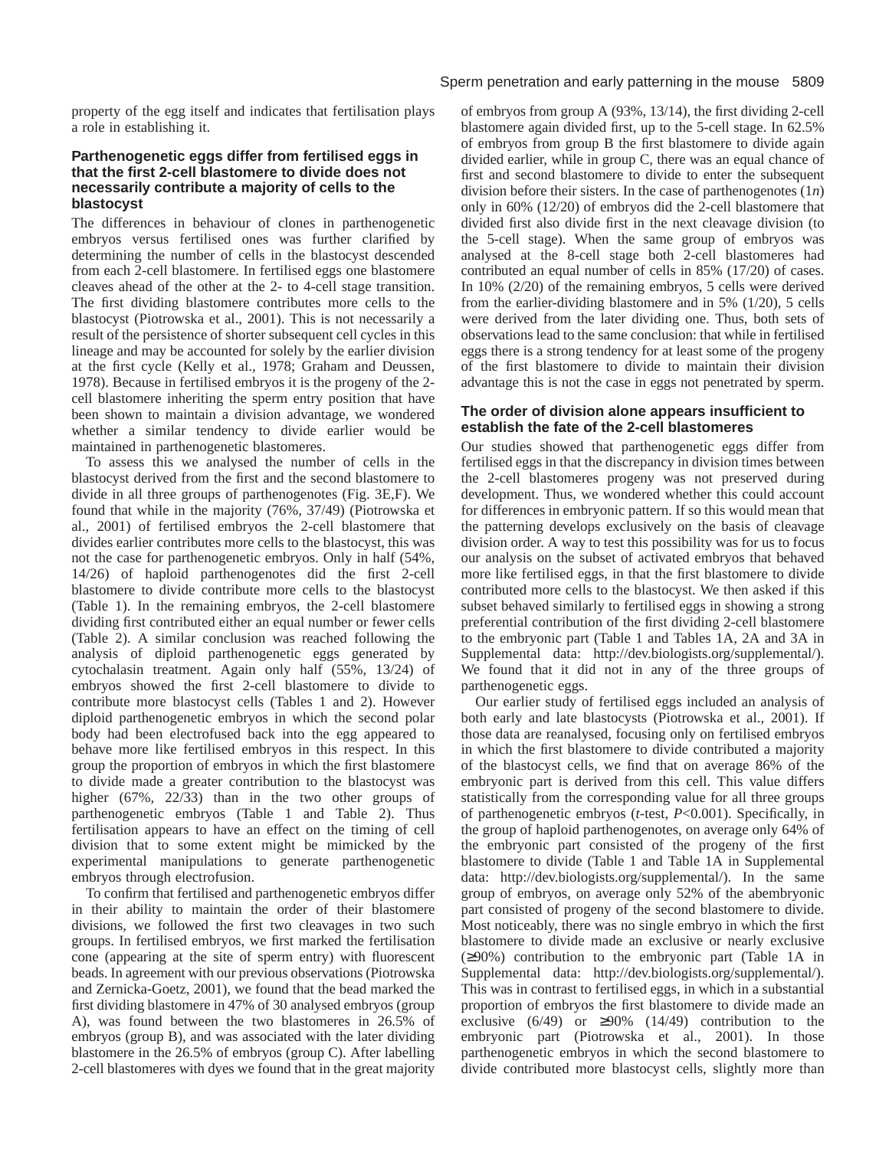property of the egg itself and indicates that fertilisation plays a role in establishing it.

# **Parthenogenetic eggs differ from fertilised eggs in that the first 2-cell blastomere to divide does not necessarily contribute a majority of cells to the blastocyst**

The differences in behaviour of clones in parthenogenetic embryos versus fertilised ones was further clarified by determining the number of cells in the blastocyst descended from each 2-cell blastomere. In fertilised eggs one blastomere cleaves ahead of the other at the 2- to 4-cell stage transition. The first dividing blastomere contributes more cells to the blastocyst (Piotrowska et al., 2001). This is not necessarily a result of the persistence of shorter subsequent cell cycles in this lineage and may be accounted for solely by the earlier division at the first cycle (Kelly et al., 1978; Graham and Deussen, 1978). Because in fertilised embryos it is the progeny of the 2 cell blastomere inheriting the sperm entry position that have been shown to maintain a division advantage, we wondered whether a similar tendency to divide earlier would be maintained in parthenogenetic blastomeres.

To assess this we analysed the number of cells in the blastocyst derived from the first and the second blastomere to divide in all three groups of parthenogenotes (Fig. 3E,F). We found that while in the majority (76%, 37/49) (Piotrowska et al., 2001) of fertilised embryos the 2-cell blastomere that divides earlier contributes more cells to the blastocyst, this was not the case for parthenogenetic embryos. Only in half (54%, 14/26) of haploid parthenogenotes did the first 2-cell blastomere to divide contribute more cells to the blastocyst (Table 1). In the remaining embryos, the 2-cell blastomere dividing first contributed either an equal number or fewer cells (Table 2). A similar conclusion was reached following the analysis of diploid parthenogenetic eggs generated by cytochalasin treatment. Again only half (55%, 13/24) of embryos showed the first 2-cell blastomere to divide to contribute more blastocyst cells (Tables 1 and 2). However diploid parthenogenetic embryos in which the second polar body had been electrofused back into the egg appeared to behave more like fertilised embryos in this respect. In this group the proportion of embryos in which the first blastomere to divide made a greater contribution to the blastocyst was higher (67%, 22/33) than in the two other groups of parthenogenetic embryos (Table 1 and Table 2). Thus fertilisation appears to have an effect on the timing of cell division that to some extent might be mimicked by the experimental manipulations to generate parthenogenetic embryos through electrofusion.

To confirm that fertilised and parthenogenetic embryos differ in their ability to maintain the order of their blastomere divisions, we followed the first two cleavages in two such groups. In fertilised embryos, we first marked the fertilisation cone (appearing at the site of sperm entry) with fluorescent beads. In agreement with our previous observations (Piotrowska and Zernicka-Goetz, 2001), we found that the bead marked the first dividing blastomere in 47% of 30 analysed embryos (group A), was found between the two blastomeres in 26.5% of embryos (group B), and was associated with the later dividing blastomere in the 26.5% of embryos (group C). After labelling 2-cell blastomeres with dyes we found that in the great majority

of embryos from group A (93%, 13/14), the first dividing 2-cell blastomere again divided first, up to the 5-cell stage. In 62.5% of embryos from group B the first blastomere to divide again divided earlier, while in group C, there was an equal chance of first and second blastomere to divide to enter the subsequent division before their sisters. In the case of parthenogenotes (1*n*) only in 60% (12/20) of embryos did the 2-cell blastomere that divided first also divide first in the next cleavage division (to the 5-cell stage). When the same group of embryos was analysed at the 8-cell stage both 2-cell blastomeres had contributed an equal number of cells in 85% (17/20) of cases. In 10% (2/20) of the remaining embryos, 5 cells were derived from the earlier-dividing blastomere and in 5% (1/20), 5 cells were derived from the later dividing one. Thus, both sets of observations lead to the same conclusion: that while in fertilised eggs there is a strong tendency for at least some of the progeny of the first blastomere to divide to maintain their division advantage this is not the case in eggs not penetrated by sperm.

# **The order of division alone appears insufficient to establish the fate of the 2-cell blastomeres**

Our studies showed that parthenogenetic eggs differ from fertilised eggs in that the discrepancy in division times between the 2-cell blastomeres progeny was not preserved during development. Thus, we wondered whether this could account for differences in embryonic pattern. If so this would mean that the patterning develops exclusively on the basis of cleavage division order. A way to test this possibility was for us to focus our analysis on the subset of activated embryos that behaved more like fertilised eggs, in that the first blastomere to divide contributed more cells to the blastocyst. We then asked if this subset behaved similarly to fertilised eggs in showing a strong preferential contribution of the first dividing 2-cell blastomere to the embryonic part (Table 1 and Tables 1A, 2A and 3A in Supplemental data: [http://dev.biologists.org/supplemental/\).](http://dev.biologists.org/supplemental/) We found that it did not in any of the three groups of parthenogenetic eggs.

Our earlier study of fertilised eggs included an analysis of both early and late blastocysts (Piotrowska et al., 2001). If those data are reanalysed, focusing only on fertilised embryos in which the first blastomere to divide contributed a majority of the blastocyst cells, we find that on average 86% of the embryonic part is derived from this cell. This value differs statistically from the corresponding value for all three groups of parthenogenetic embryos (*t*-test, *P*<0.001). Specifically, in the group of haploid parthenogenotes, on average only 64% of the embryonic part consisted of the progeny of the first blastomere to divide (Table 1 and Table 1A in Supplemental data: [http://dev.biologists.org/supplemental/\).](http://dev.biologists.org/supplemental/) In the same group of embryos, on average only 52% of the abembryonic part consisted of progeny of the second blastomere to divide. Most noticeably, there was no single embryo in which the first blastomere to divide made an exclusive or nearly exclusive (≥90%) contribution to the embryonic part (Table 1A in Supplemental data: [http://dev.biologists.org/supplemental/\).](http://dev.biologists.org/supplemental/) This was in contrast to fertilised eggs, in which in a substantial proportion of embryos the first blastomere to divide made an exclusive (6/49) or  $\geq$ 90% (14/49) contribution to the embryonic part (Piotrowska et al., 2001). In those parthenogenetic embryos in which the second blastomere to divide contributed more blastocyst cells, slightly more than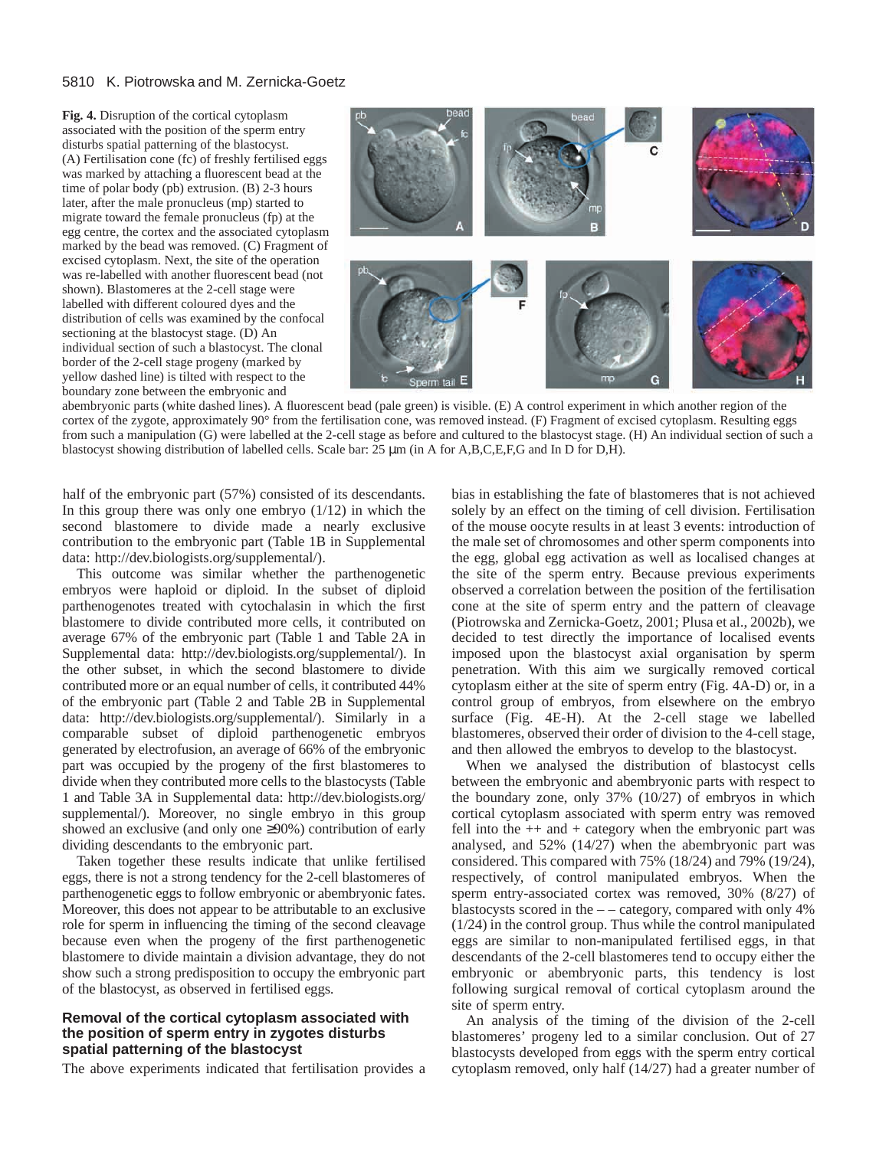### 5810 K. Piotrowska and M. Zernicka-Goetz

**Fig. 4.** Disruption of the cortical cytoplasm associated with the position of the sperm entry disturbs spatial patterning of the blastocyst. (A) Fertilisation cone (fc) of freshly fertilised eggs was marked by attaching a fluorescent bead at the time of polar body (pb) extrusion. (B) 2-3 hours later, after the male pronucleus (mp) started to migrate toward the female pronucleus (fp) at the egg centre, the cortex and the associated cytoplasm marked by the bead was removed. (C) Fragment of excised cytoplasm. Next, the site of the operation was re-labelled with another fluorescent bead (not shown). Blastomeres at the 2-cell stage were labelled with different coloured dyes and the distribution of cells was examined by the confocal sectioning at the blastocyst stage. (D) An individual section of such a blastocyst. The clonal border of the 2-cell stage progeny (marked by yellow dashed line) is tilted with respect to the boundary zone between the embryonic and



abembryonic parts (white dashed lines). A fluorescent bead (pale green) is visible. (E) A control experiment in which another region of the cortex of the zygote, approximately 90° from the fertilisation cone, was removed instead. (F) Fragment of excised cytoplasm. Resulting eggs from such a manipulation (G) were labelled at the 2-cell stage as before and cultured to the blastocyst stage. (H) An individual section of such a blastocyst showing distribution of labelled cells. Scale bar: 25  $\mu$ m (in A for A,B,C,E,F,G and In D for D,H).

half of the embryonic part (57%) consisted of its descendants. In this group there was only one embryo  $(1/12)$  in which the second blastomere to divide made a nearly exclusive contribution to the embryonic part (Table 1B in Supplemental data: [http://dev.biologists.org/supplemental/\).](http://dev.biologists.org/supplemental/)

This outcome was similar whether the parthenogenetic embryos were haploid or diploid. In the subset of diploid parthenogenotes treated with cytochalasin in which the first blastomere to divide contributed more cells, it contributed on average 67% of the embryonic part (Table 1 and Table 2A in Supplemental data: [http://dev.biologists.org/supplemental/\).](http://dev.biologists.org/supplemental/) In the other subset, in which the second blastomere to divide contributed more or an equal number of cells, it contributed 44% of the embryonic part (Table 2 and Table 2B in Supplemental data: [http://dev.biologists.org/supplemental/\).](http://dev.biologists.org/supplemental/) Similarly in a comparable subset of diploid parthenogenetic embryos generated by electrofusion, an average of 66% of the embryonic part was occupied by the progeny of the first blastomeres to divide when they contributed more cells to the blastocysts (Table 1 and Table 3A in Supplemental data: <http://dev.biologists.org/> supplemental/). Moreover, no single embryo in this group showed an exclusive (and only one ≥90%) contribution of early dividing descendants to the embryonic part.

Taken together these results indicate that unlike fertilised eggs, there is not a strong tendency for the 2-cell blastomeres of parthenogenetic eggs to follow embryonic or abembryonic fates. Moreover, this does not appear to be attributable to an exclusive role for sperm in influencing the timing of the second cleavage because even when the progeny of the first parthenogenetic blastomere to divide maintain a division advantage, they do not show such a strong predisposition to occupy the embryonic part of the blastocyst, as observed in fertilised eggs.

# **Removal of the cortical cytoplasm associated with the position of sperm entry in zygotes disturbs spatial patterning of the blastocyst**

The above experiments indicated that fertilisation provides a

bias in establishing the fate of blastomeres that is not achieved solely by an effect on the timing of cell division. Fertilisation of the mouse oocyte results in at least 3 events: introduction of the male set of chromosomes and other sperm components into the egg, global egg activation as well as localised changes at the site of the sperm entry. Because previous experiments observed a correlation between the position of the fertilisation cone at the site of sperm entry and the pattern of cleavage (Piotrowska and Zernicka-Goetz, 2001; Plusa et al., 2002b), we decided to test directly the importance of localised events imposed upon the blastocyst axial organisation by sperm penetration. With this aim we surgically removed cortical cytoplasm either at the site of sperm entry (Fig. 4A-D) or, in a control group of embryos, from elsewhere on the embryo surface (Fig. 4E-H). At the 2-cell stage we labelled blastomeres, observed their order of division to the 4-cell stage, and then allowed the embryos to develop to the blastocyst.

When we analysed the distribution of blastocyst cells between the embryonic and abembryonic parts with respect to the boundary zone, only 37% (10/27) of embryos in which cortical cytoplasm associated with sperm entry was removed fell into the  $++$  and  $+$  category when the embryonic part was analysed, and 52% (14/27) when the abembryonic part was considered. This compared with 75% (18/24) and 79% (19/24), respectively, of control manipulated embryos. When the sperm entry-associated cortex was removed, 30% (8/27) of blastocysts scored in the  $-$  – category, compared with only 4% (1/24) in the control group. Thus while the control manipulated eggs are similar to non-manipulated fertilised eggs, in that descendants of the 2-cell blastomeres tend to occupy either the embryonic or abembryonic parts, this tendency is lost following surgical removal of cortical cytoplasm around the site of sperm entry.

An analysis of the timing of the division of the 2-cell blastomeres' progeny led to a similar conclusion. Out of 27 blastocysts developed from eggs with the sperm entry cortical cytoplasm removed, only half (14/27) had a greater number of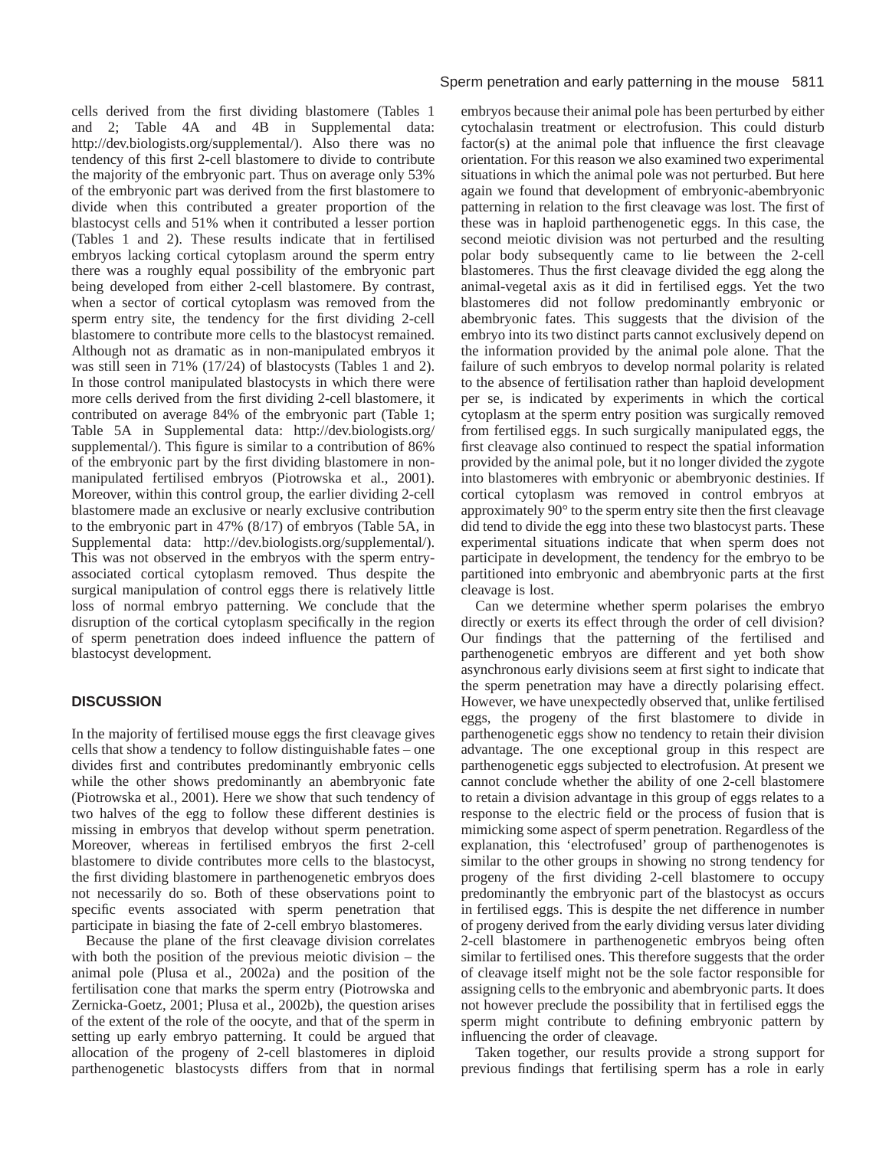cells derived from the first dividing blastomere (Tables 1 and 2; Table 4A and 4B in Supplemental data: [http://dev.biologists.org/supplemental/\).](http://dev.biologists.org/supplemental/) Also there was no tendency of this first 2-cell blastomere to divide to contribute the majority of the embryonic part. Thus on average only 53% of the embryonic part was derived from the first blastomere to divide when this contributed a greater proportion of the blastocyst cells and 51% when it contributed a lesser portion (Tables 1 and 2). These results indicate that in fertilised embryos lacking cortical cytoplasm around the sperm entry there was a roughly equal possibility of the embryonic part being developed from either 2-cell blastomere. By contrast, when a sector of cortical cytoplasm was removed from the sperm entry site, the tendency for the first dividing 2-cell blastomere to contribute more cells to the blastocyst remained. Although not as dramatic as in non-manipulated embryos it was still seen in 71% (17/24) of blastocysts (Tables 1 and 2). In those control manipulated blastocysts in which there were more cells derived from the first dividing 2-cell blastomere, it contributed on average 84% of the embryonic part (Table 1; Table 5A in Supplemental data: <http://dev.biologists.org/> supplemental/). This figure is similar to a contribution of 86% of the embryonic part by the first dividing blastomere in nonmanipulated fertilised embryos (Piotrowska et al., 2001). Moreover, within this control group, the earlier dividing 2-cell blastomere made an exclusive or nearly exclusive contribution to the embryonic part in 47% (8/17) of embryos (Table 5A, in Supplemental data: [http://dev.biologists.org/supplemental/\).](http://dev.biologists.org/supplemental/) This was not observed in the embryos with the sperm entryassociated cortical cytoplasm removed. Thus despite the surgical manipulation of control eggs there is relatively little loss of normal embryo patterning. We conclude that the disruption of the cortical cytoplasm specifically in the region of sperm penetration does indeed influence the pattern of blastocyst development.

# **DISCUSSION**

In the majority of fertilised mouse eggs the first cleavage gives cells that show a tendency to follow distinguishable fates – one divides first and contributes predominantly embryonic cells while the other shows predominantly an abembryonic fate (Piotrowska et al., 2001). Here we show that such tendency of two halves of the egg to follow these different destinies is missing in embryos that develop without sperm penetration. Moreover, whereas in fertilised embryos the first 2-cell blastomere to divide contributes more cells to the blastocyst, the first dividing blastomere in parthenogenetic embryos does not necessarily do so. Both of these observations point to specific events associated with sperm penetration that participate in biasing the fate of 2-cell embryo blastomeres.

Because the plane of the first cleavage division correlates with both the position of the previous meiotic division – the animal pole (Plusa et al., 2002a) and the position of the fertilisation cone that marks the sperm entry (Piotrowska and Zernicka-Goetz, 2001; Plusa et al., 2002b), the question arises of the extent of the role of the oocyte, and that of the sperm in setting up early embryo patterning. It could be argued that allocation of the progeny of 2-cell blastomeres in diploid parthenogenetic blastocysts differs from that in normal

embryos because their animal pole has been perturbed by either cytochalasin treatment or electrofusion. This could disturb factor(s) at the animal pole that influence the first cleavage orientation. For this reason we also examined two experimental situations in which the animal pole was not perturbed. But here again we found that development of embryonic-abembryonic patterning in relation to the first cleavage was lost. The first of these was in haploid parthenogenetic eggs. In this case, the second meiotic division was not perturbed and the resulting polar body subsequently came to lie between the 2-cell blastomeres. Thus the first cleavage divided the egg along the animal-vegetal axis as it did in fertilised eggs. Yet the two blastomeres did not follow predominantly embryonic or abembryonic fates. This suggests that the division of the embryo into its two distinct parts cannot exclusively depend on the information provided by the animal pole alone. That the failure of such embryos to develop normal polarity is related to the absence of fertilisation rather than haploid development per se, is indicated by experiments in which the cortical cytoplasm at the sperm entry position was surgically removed from fertilised eggs. In such surgically manipulated eggs, the first cleavage also continued to respect the spatial information provided by the animal pole, but it no longer divided the zygote into blastomeres with embryonic or abembryonic destinies. If cortical cytoplasm was removed in control embryos at approximately 90° to the sperm entry site then the first cleavage did tend to divide the egg into these two blastocyst parts. These experimental situations indicate that when sperm does not participate in development, the tendency for the embryo to be partitioned into embryonic and abembryonic parts at the first cleavage is lost.

Can we determine whether sperm polarises the embryo directly or exerts its effect through the order of cell division? Our findings that the patterning of the fertilised and parthenogenetic embryos are different and yet both show asynchronous early divisions seem at first sight to indicate that the sperm penetration may have a directly polarising effect. However, we have unexpectedly observed that, unlike fertilised eggs, the progeny of the first blastomere to divide in parthenogenetic eggs show no tendency to retain their division advantage. The one exceptional group in this respect are parthenogenetic eggs subjected to electrofusion. At present we cannot conclude whether the ability of one 2-cell blastomere to retain a division advantage in this group of eggs relates to a response to the electric field or the process of fusion that is mimicking some aspect of sperm penetration. Regardless of the explanation, this 'electrofused' group of parthenogenotes is similar to the other groups in showing no strong tendency for progeny of the first dividing 2-cell blastomere to occupy predominantly the embryonic part of the blastocyst as occurs in fertilised eggs. This is despite the net difference in number of progeny derived from the early dividing versus later dividing 2-cell blastomere in parthenogenetic embryos being often similar to fertilised ones. This therefore suggests that the order of cleavage itself might not be the sole factor responsible for assigning cells to the embryonic and abembryonic parts. It does not however preclude the possibility that in fertilised eggs the sperm might contribute to defining embryonic pattern by influencing the order of cleavage.

Taken together, our results provide a strong support for previous findings that fertilising sperm has a role in early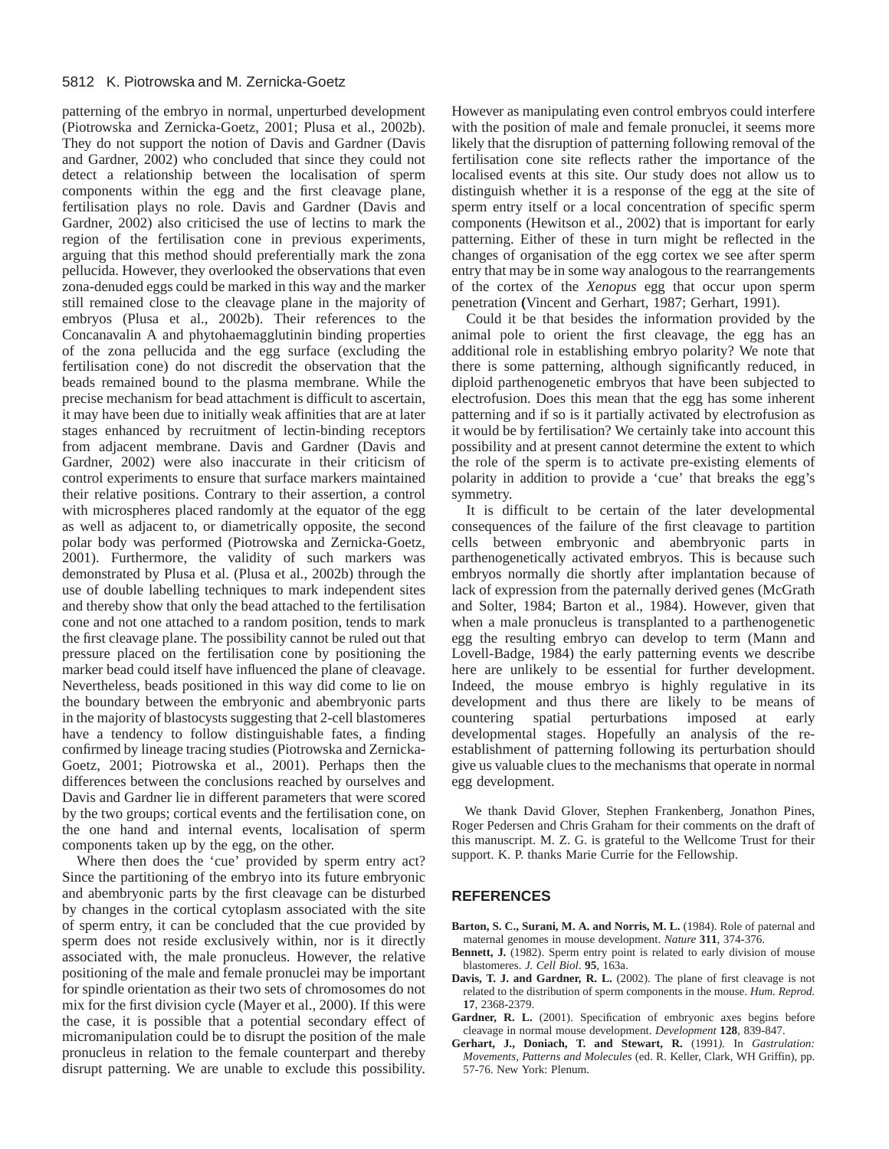### 5812 K. Piotrowska and M. Zernicka-Goetz

patterning of the embryo in normal, unperturbed development (Piotrowska and Zernicka-Goetz, 2001; Plusa et al., 2002b). They do not support the notion of Davis and Gardner (Davis and Gardner, 2002) who concluded that since they could not detect a relationship between the localisation of sperm components within the egg and the first cleavage plane, fertilisation plays no role. Davis and Gardner (Davis and Gardner, 2002) also criticised the use of lectins to mark the region of the fertilisation cone in previous experiments, arguing that this method should preferentially mark the zona pellucida. However, they overlooked the observations that even zona-denuded eggs could be marked in this way and the marker still remained close to the cleavage plane in the majority of embryos (Plusa et al., 2002b). Their references to the Concanavalin A and phytohaemagglutinin binding properties of the zona pellucida and the egg surface (excluding the fertilisation cone) do not discredit the observation that the beads remained bound to the plasma membrane. While the precise mechanism for bead attachment is difficult to ascertain, it may have been due to initially weak affinities that are at later stages enhanced by recruitment of lectin-binding receptors from adjacent membrane. Davis and Gardner (Davis and Gardner, 2002) were also inaccurate in their criticism of control experiments to ensure that surface markers maintained their relative positions. Contrary to their assertion, a control with microspheres placed randomly at the equator of the egg as well as adjacent to, or diametrically opposite, the second polar body was performed (Piotrowska and Zernicka-Goetz, 2001). Furthermore, the validity of such markers was demonstrated by Plusa et al. (Plusa et al., 2002b) through the use of double labelling techniques to mark independent sites and thereby show that only the bead attached to the fertilisation cone and not one attached to a random position, tends to mark the first cleavage plane. The possibility cannot be ruled out that pressure placed on the fertilisation cone by positioning the marker bead could itself have influenced the plane of cleavage. Nevertheless, beads positioned in this way did come to lie on the boundary between the embryonic and abembryonic parts in the majority of blastocysts suggesting that 2-cell blastomeres have a tendency to follow distinguishable fates, a finding confirmed by lineage tracing studies (Piotrowska and Zernicka-Goetz, 2001; Piotrowska et al., 2001). Perhaps then the differences between the conclusions reached by ourselves and Davis and Gardner lie in different parameters that were scored by the two groups; cortical events and the fertilisation cone, on the one hand and internal events, localisation of sperm components taken up by the egg, on the other.

Where then does the 'cue' provided by sperm entry act? Since the partitioning of the embryo into its future embryonic and abembryonic parts by the first cleavage can be disturbed by changes in the cortical cytoplasm associated with the site of sperm entry, it can be concluded that the cue provided by sperm does not reside exclusively within, nor is it directly associated with, the male pronucleus. However, the relative positioning of the male and female pronuclei may be important for spindle orientation as their two sets of chromosomes do not mix for the first division cycle (Mayer et al., 2000). If this were the case, it is possible that a potential secondary effect of micromanipulation could be to disrupt the position of the male pronucleus in relation to the female counterpart and thereby disrupt patterning. We are unable to exclude this possibility.

However as manipulating even control embryos could interfere with the position of male and female pronuclei, it seems more likely that the disruption of patterning following removal of the fertilisation cone site reflects rather the importance of the localised events at this site. Our study does not allow us to distinguish whether it is a response of the egg at the site of sperm entry itself or a local concentration of specific sperm components (Hewitson et al., 2002) that is important for early patterning. Either of these in turn might be reflected in the changes of organisation of the egg cortex we see after sperm entry that may be in some way analogous to the rearrangements of the cortex of the *Xenopus* egg that occur upon sperm penetration **(**Vincent and Gerhart, 1987; Gerhart, 1991).

Could it be that besides the information provided by the animal pole to orient the first cleavage, the egg has an additional role in establishing embryo polarity? We note that there is some patterning, although significantly reduced, in diploid parthenogenetic embryos that have been subjected to electrofusion. Does this mean that the egg has some inherent patterning and if so is it partially activated by electrofusion as it would be by fertilisation? We certainly take into account this possibility and at present cannot determine the extent to which the role of the sperm is to activate pre-existing elements of polarity in addition to provide a 'cue' that breaks the egg's symmetry.

It is difficult to be certain of the later developmental consequences of the failure of the first cleavage to partition cells between embryonic and abembryonic parts in parthenogenetically activated embryos. This is because such embryos normally die shortly after implantation because of lack of expression from the paternally derived genes (McGrath and Solter, 1984; Barton et al., 1984). However, given that when a male pronucleus is transplanted to a parthenogenetic egg the resulting embryo can develop to term (Mann and Lovell-Badge, 1984) the early patterning events we describe here are unlikely to be essential for further development. Indeed, the mouse embryo is highly regulative in its development and thus there are likely to be means of countering spatial perturbations imposed at early developmental stages. Hopefully an analysis of the reestablishment of patterning following its perturbation should give us valuable clues to the mechanisms that operate in normal egg development.

We thank David Glover, Stephen Frankenberg, Jonathon Pines, Roger Pedersen and Chris Graham for their comments on the draft of this manuscript. M. Z. G. is grateful to the Wellcome Trust for their support. K. P. thanks Marie Currie for the Fellowship.

### **REFERENCES**

- Barton, S. C., Surani, M. A. and Norris, M. L. (1984). Role of paternal and maternal genomes in mouse development. *Nature* **311**, 374-376.
- Bennett, J. (1982). Sperm entry point is related to early division of mouse blastomeres. *J. Cell Biol*. **95**, 163a.
- **Davis, T. J. and Gardner, R. L.** (2002). The plane of first cleavage is not related to the distribution of sperm components in the mouse. *Hum. Reprod.* **17**, 2368-2379.
- Gardner, R. L. (2001). Specification of embryonic axes begins before cleavage in normal mouse development. *Development* **128**, 839-847.
- **Gerhart, J., Doniach, T. and Stewart, R.** (1991*).* In *Gastrulation: Movements, Patterns and Molecules* (ed. R. Keller, Clark, WH Griffin), pp. 57-76. New York: Plenum.